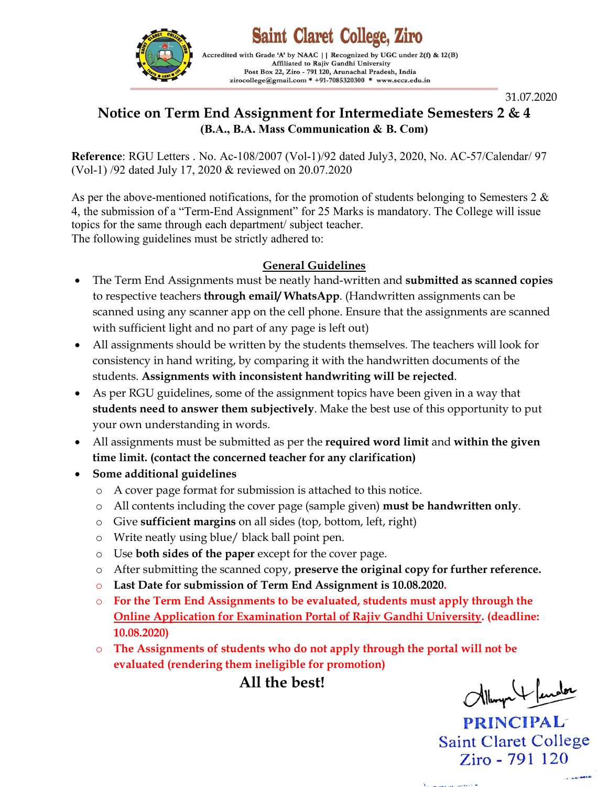

**Saint Claret College, Ziro** Accredited with Grade 'A' by NAAC | | Recognized by UGC under 2(f) & 12(B)

Affiliated to Rajiv Gandhi University Post Box 22, Ziro - 791 120, Arunachal Pradesh, India zirocollege@gmail.com \* +91-7085320300 \* www.sccz.edu.in

31.07.2020

## **Notice on Term End Assignment for Intermediate Semesters 2 & 4 (B.A., B.A. Mass Communication & B. Com)**

**Reference**: RGU Letters . No. Ac-108/2007 (Vol-1)/92 dated July3, 2020, No. AC-57/Calendar/ 97 (Vol-1) /92 dated July 17, 2020 & reviewed on 20.07.2020

As per the above-mentioned notifications, for the promotion of students belonging to Semesters 2  $\&$ 4, the submission of a "Term-End Assignment" for 25 Marks is mandatory. The College will issue topics for the same through each department/ subject teacher. The following guidelines must be strictly adhered to:

## **General Guidelines**

- The Term End Assignments must be neatly hand-written and **submitted as scanned copies** to respective teachers **through email/ WhatsApp**. (Handwritten assignments can be scanned using any scanner app on the cell phone. Ensure that the assignments are scanned with sufficient light and no part of any page is left out)
- All assignments should be written by the students themselves. The teachers will look for consistency in hand writing, by comparing it with the handwritten documents of the students. **Assignments with inconsistent handwriting will be rejected**.
- As per RGU guidelines, some of the assignment topics have been given in a way that **students need to answer them subjectively**. Make the best use of this opportunity to put your own understanding in words.
- All assignments must be submitted as per the **required word limit** and **within the given time limit. (contact the concerned teacher for any clarification)**
- **Some additional guidelines**
	- o A cover page format for submission is attached to this notice.
	- o All contents including the cover page (sample given) **must be handwritten only**.
	- o Give **sufficient margins** on all sides (top, bottom, left, right)
	- o Write neatly using blue/ black ball point pen.
	- o Use **both sides of the paper** except for the cover page.
	- o After submitting the scanned copy, **preserve the original copy for further reference.**
	- o **Last Date for submission of Term End Assignment is 10.08.2020.**
	- o **For the Term End Assignments to be evaluated, students must apply through the Online Application for Examination Portal of Rajiv Gandhi University. (deadline: 10.08.2020)**
	- o **The Assignments of students who do not apply through the portal will not be evaluated (rendering them ineligible for promotion)**

**All the best!**

Allum + fender

**PRINCIPAL Saint Claret College** Ziro - 791 120

**CANADIA**